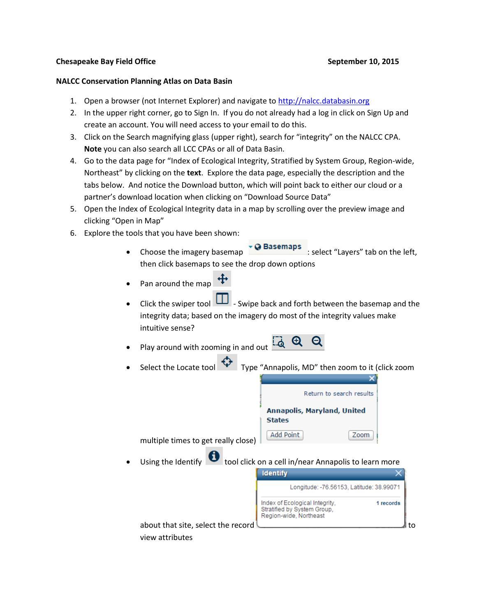## **Chesapeake Bay Field Office September 10, 2015**

## **NALCC Conservation Planning Atlas on Data Basin**

- 1. Open a browser (not Internet Explorer) and navigate to [http://nalcc.databasin.org](http://nalcc.databasin.org/)
- 2. In the upper right corner, go to Sign In. If you do not already had a log in click on Sign Up and create an account. You will need access to your email to do this.
- 3. Click on the Search magnifying glass (upper right), search for "integrity" on the NALCC CPA. **Note** you can also search all LCC CPAs or all of Data Basin.
- 4. Go to the data page for "Index of Ecological Integrity, Stratified by System Group, Region-wide, Northeast" by clicking on the **text**. Explore the data page, especially the description and the tabs below. And notice the Download button, which will point back to either our cloud or a partner's download location when clicking on "Download Source Data"
- 5. Open the Index of Ecological Integrity data in a map by scrolling over the preview image and clicking "Open in Map"
- 6. Explore the tools that you have been shown:
	- Choose the imagery basemap  $\overline{Q}$  Basemaps : select "Layers" tab on the left, then click basemaps to see the drop down options
	- Pan around the map
	- Click the swiper tool  $\Box$  Swipe back and forth between the basemap and the integrity data; based on the imagery do most of the integrity values make intuitive sense?
	- Play around with zooming in and out  $\overline{\mathcal{A}}$
	- Select the Locate tool  $\mathbf{V}$  Type "Annapolis, MD" then zoom to it (click zoom

| Return to search results                     |      |  |  |  |  |
|----------------------------------------------|------|--|--|--|--|
| Annapolis, Maryland, United<br><b>States</b> |      |  |  |  |  |
| Add Point                                    | Zoom |  |  |  |  |

multiple times to get really close)  $\Box$ 

Using the Identify **U** tool click on a cell in/near Annapolis to learn more